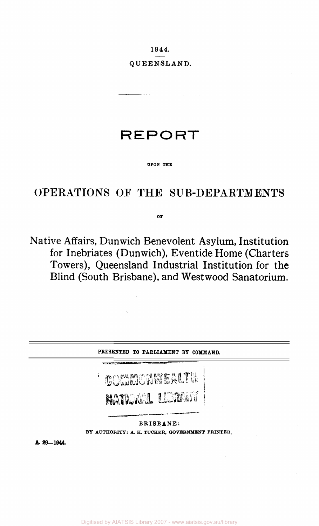1944. QUEENSLAND.

# **REPORT**

#### **UPON THE**

## OPERATIONS OF THE SUB-DEPARTMENTS

#### **OI**

Native Affairs, Dunwich Benevolent Asylum, Institution for Inebriates (Dunwich), Eventide Home (Charters Towers), Queensland Industrial Institution for the Blind (South Brisbane), and Westwood Sanatorium.

| PRESENTED TO PARLIAMENT BY COMMAND. |                                                                                                                                                                                                                                                            |
|-------------------------------------|------------------------------------------------------------------------------------------------------------------------------------------------------------------------------------------------------------------------------------------------------------|
|                                     | <b><i>Contact Association Institute Association Institute Association Institute Association Institute Association Institute Association Institute Association Institute Association Institute Association Institute Association In</i></b><br>COMMONMERLTH |
|                                     | <b>NATIONAL LESTING</b><br>BRISBANE:<br>BY AUTHORITY: A. H. TUCKER, GOVERNMENT PRINTER,                                                                                                                                                                    |

**A. 29—1944.**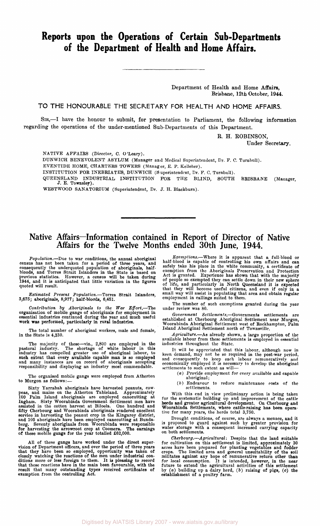## **Reports upon the Operations of Certain Sub-Departments of the Department of Health and Home Affairs.**

Department of Health and Home Affairs, Brisbane, 12th October, 1944.

**TO THE HONOURABLE THE SECRETARY FOR HEALTH AND HOME AFFAIRS.** 

SIR,—I have the honour to submit, for presentation to Parliament, the following information regarding the operations of the under-mentioned Sub-Departments of this Department.

> R. H. ROBINSON, Under Secretary.

NATIVE AFFAIRS (Director, C. O'Leary).

DUNWICH BENEVOLENT ASYLUM (Manager and Medical Superintendent, Dr. F. C. Turnbull).

EVENTIDE HOME, CHARTERS TOWERS (Manager, E. P. Kelleher).

INSTITUTION FOR INEBRIATES, DUNWICH (Superintendent, Dr. F. C. Turnbull).

QUEENSLAND INDUSTRIAL INSTITUTION FOR THE BLIND, SOUTH BRISBANE (Manager, J. E. Townsley).

WESTWOOD SANATORIUM (Superintendent, Dr. J. H. Blackburn).

### **Native Affairs—Information contained in Report of Director of Native Affairs for the Twelve Months ended 30th June, 1944.**

Population.—Due to war conditions, the annual aboriginal<br>census has not been taken for a period of three years, and<br>consequently the underquoted population of aboriginals, half-<br>bloods, and Torres Strait Islanders in the S

*Estimated Present Population.*—Torres Strait Islanders, 3,675; aboriginals, 8,977; half-bloods, 6,451.

*Contribution by Aboriginals to the War Effort.*—The organisation of mobile gangs of aboriginals for employment in essential industries continued during the year and much useful work was performed, particularly in rural industries.

The total number of aboriginal workers, male and female, in the State is 4,330.

The majority of these—viz., 2,800 are employed in the pastoral industry. The shortage of white labour in this industry has compelled greater use of aboriginal labour, to such extent that every available capable man is so employed and many instances are on record of aboriginals accepting responsibility and displaying an industry most commendable.

The organised mobile gangs were employed from Atherton to Murgon as follows:—

Sixty Yarrabah aboriginals have harvested peanuts, cow-<br>peas, and maize on the Atherton Tableland. Approximately<br>100 Palm Island aboriginals are employed canceutting at<br>Ingham. Sixty Woorabinda Government Settlement men ha

All of these gangs have worked under the direct super-<br>vision of Department officers, and over the period of three years<br>that they have been so employed, opportunity was taken of<br>closely watching the reactions of the men u

*Exemptions.*—Where it is apparent that a full-blood or half-blood is capable of controlling his own affairs and can safely take his place in the white community, a certificate of exemption from the Aboriginals Preservatio

The number of such exemptions granted during the year under review was 80.

*Government Settlements.*—Governments settlements are established at Cherbourg Aboriginal Settlement near Murgon, Woorabinda Aboriginal Settlement west of Roekhampton, Palm Island Aboriginal Settlement north of Townsville.

*Agriculture.*—As already shown, a large proportion of the available labour from these settlements is employed in essential industries throughout the State.

It will be appreciated that this labour, although now in<br>keen demand, may not be so required in the post-war period,<br>and consequently to keep each labour remuneratively and<br>economically employed it is necessary to develop

- (a) Provide employment for every available and capable aboriginal;
- *(b)* Endeavour to reduce maintenance costs of the settlements.

With this end in view preliminary action is being taken<br>for the systematic building up and improvement of the cattle<br>herds and greater agricultural development. On Cherbourg and<br>Woorabinda Settlements, where cattle-raising

Drought conditions, of course, are always a menace, and it is proposed to guard against such by greater provision for water storage with a consequent increased carrying capacity on both settlements.

*Cherbourg.*—*Agricultural*: Despite that the land suitable<br>for cultivation on this settlement is limited, approximately 30<br>acres have been prepared for planting vegetables and fodder<br>crops. The limited area and general u